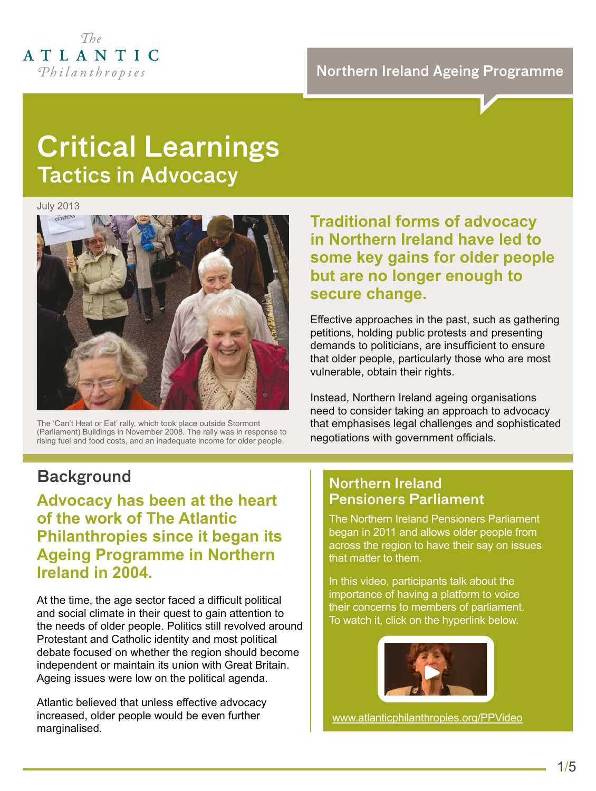

## Critical Learnings Tactics in Advocacy

July 2013



The 'Can't Heat or Eat' rally, which took place outside Stormont (Parliament) Buildings in November 2008. The rally was in response to rising fuel and food costs, and an inadequate income for older people.

### **Traditional forms of advocacy in Northern Ireland have led to some key gains for older people but are no longer enough to secure change.**

Effective approaches in the past, such as gathering petitions, holding public protests and presenting demands to politicians, are insufficient to ensure that older people, particularly those who are most vulnerable, obtain their rights.

Instead, Northern Ireland ageing organisations need to consider taking an approach to advocacy that emphasises legal challenges and sophisticated negotiations with government officials.

### **Background**

**Advocacy has been at the heart of the work of The Atlantic Philanthropies since it began its Ageing Programme in Northern Ireland in 2004.**

At the time, the age sector faced a difficult political and social climate in their quest to gain attention to the needs of older people. Politics still revolved around Protestant and Catholic identity and most political debate focused on whether the region should become independent or maintain its union with Great Britain. Ageing issues were low on the political agenda.

Atlantic believed that unless effective advocacy increased, older people would be even further marginalised.

#### Northern Ireland Pensioners Parliament

The Northern Ireland Pensioners Parliament began in 2011 and allows older people from across the region to have their say on issues that matter to them.

In this video, participants talk about the importance of having a platform to voice their concerns to members of parliament. To watch it, click on the hyperlink below.



[www.atlanticphilanthropies.org/PPVideo](http://bit.ly/R4WfrY)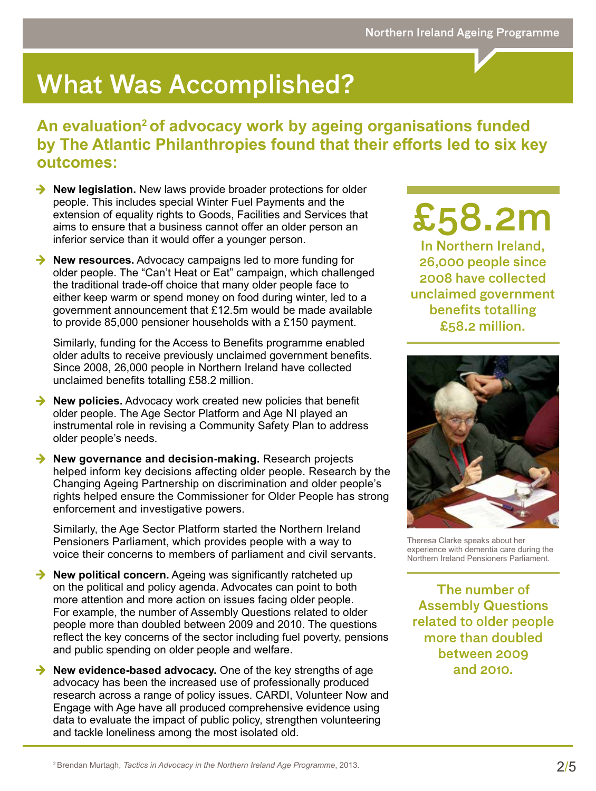## What Was Accomplished?

### **An evaluation2 of advocacy work by ageing organisations funded by The Atlantic Philanthropies found that their efforts led to six key outcomes:**

- **→ New legislation.** New laws provide broader protections for older people. This includes special Winter Fuel Payments and the extension of equality rights to Goods, Facilities and Services that aims to ensure that a business cannot offer an older person an inferior service than it would offer a younger person.
- **→ New resources.** Advocacy campaigns led to more funding for older people. The "Can't Heat or Eat" campaign, which challenged the traditional trade-off choice that many older people face to either keep warm or spend money on food during winter, led to a government announcement that £12.5m would be made available to provide 85,000 pensioner households with a £150 payment.

Similarly, funding for the Access to Benefits programme enabled older adults to receive previously unclaimed government benefits. Since 2008, 26,000 people in Northern Ireland have collected unclaimed benefits totalling £58.2 million.

- **→ New policies.** Advocacy work created new policies that benefit older people. The Age Sector Platform and Age NI played an instrumental role in revising a Community Safety Plan to address older people's needs.
- **→ New governance and decision-making.** Research projects helped inform key decisions affecting older people. Research by the Changing Ageing Partnership on discrimination and older people's rights helped ensure the Commissioner for Older People has strong enforcement and investigative powers.

Similarly, the Age Sector Platform started the Northern Ireland Pensioners Parliament, which provides people with a way to voice their concerns to members of parliament and civil servants.

- **→ New political concern.** Ageing was significantly ratcheted up on the political and policy agenda. Advocates can point to both more attention and more action on issues facing older people. For example, the number of Assembly Questions related to older people more than doubled between 2009 and 2010. The questions reflect the key concerns of the sector including fuel poverty, pensions and public spending on older people and welfare.
- **→ New evidence-based advocacy.** One of the key strengths of age advocacy has been the increased use of professionally produced research across a range of policy issues. CARDI, Volunteer Now and Engage with Age have all produced comprehensive evidence using data to evaluate the impact of public policy, strengthen volunteering and tackle loneliness among the most isolated old.

# £58.2m

In Northern Ireland, 26,000 people since 2008 have collected unclaimed government benefits totalling £58.2 million.



Theresa Clarke speaks about her experience with dementia care during the Northern Ireland Pensioners Parliament.

The number of Assembly Questions related to older people more than doubled between 2009 and 2010.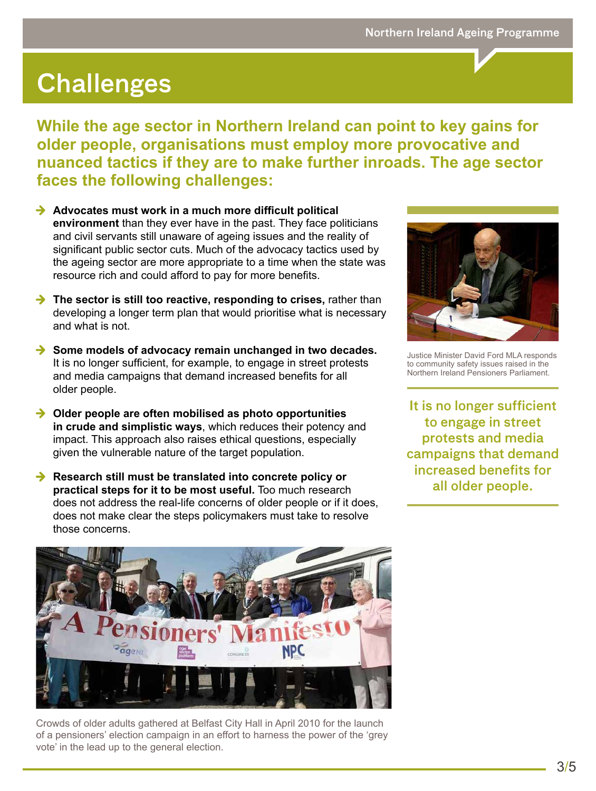## **Challenges**

**While the age sector in Northern Ireland can point to key gains for older people, organisations must employ more provocative and nuanced tactics if they are to make further inroads. The age sector faces the following challenges:**

- **→ Advocates must work in a much more difficult political environment** than they ever have in the past. They face politicians and civil servants still unaware of ageing issues and the reality of significant public sector cuts. Much of the advocacy tactics used by the ageing sector are more appropriate to a time when the state was resource rich and could afford to pay for more benefits.
- → The sector is still too reactive, responding to crises, rather than developing a longer term plan that would prioritise what is necessary and what is not.
- **→ Some models of advocacy remain unchanged in two decades.** It is no longer sufficient, for example, to engage in street protests and media campaigns that demand increased benefits for all older people.
- **→ Older people are often mobilised as photo opportunities in crude and simplistic ways**, which reduces their potency and impact. This approach also raises ethical questions, especially given the vulnerable nature of the target population.
- **→ Research still must be translated into concrete policy or practical steps for it to be most useful.** Too much research does not address the real-life concerns of older people or if it does, does not make clear the steps policymakers must take to resolve those concerns.



Justice Minister David Ford MLA responds to community safety issues raised in the Northern Ireland Pensioners Parliament.

It is no longer sufficient to engage in street protests and media campaigns that demand increased benefits for all older people.



Crowds of older adults gathered at Belfast City Hall in April 2010 for the launch of a pensioners' election campaign in an effort to harness the power of the 'grey vote' in the lead up to the general election.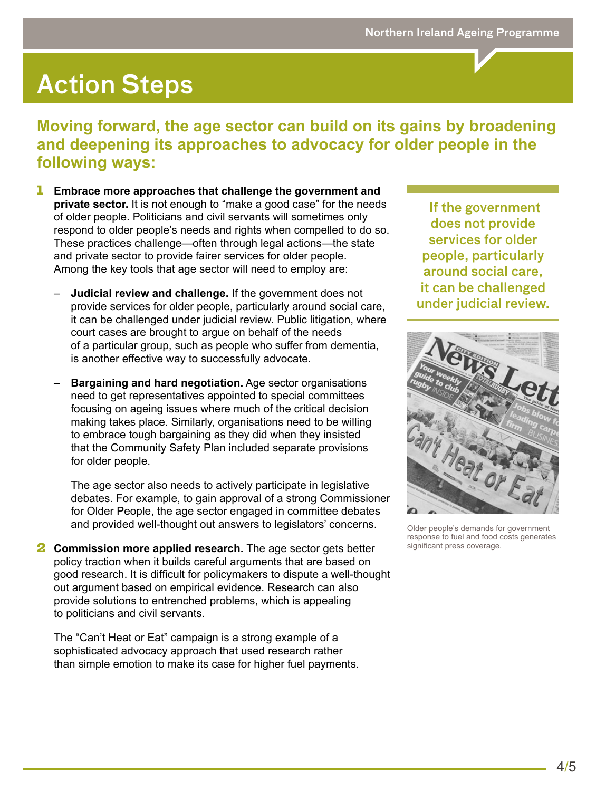## Action Steps

### **Moving forward, the age sector can build on its gains by broadening and deepening its approaches to advocacy for older people in the following ways:**

- 1 **Embrace more approaches that challenge the government and private sector.** It is not enough to "make a good case" for the needs of older people. Politicians and civil servants will sometimes only respond to older people's needs and rights when compelled to do so. These practices challenge—often through legal actions—the state and private sector to provide fairer services for older people. Among the key tools that age sector will need to employ are:
	- **Judicial review and challenge.** If the government does not provide services for older people, particularly around social care, it can be challenged under judicial review. Public litigation, where court cases are brought to argue on behalf of the needs of a particular group, such as people who suffer from dementia, is another effective way to successfully advocate.
	- **Bargaining and hard negotiation.** Age sector organisations need to get representatives appointed to special committees focusing on ageing issues where much of the critical decision making takes place. Similarly, organisations need to be willing to embrace tough bargaining as they did when they insisted that the Community Safety Plan included separate provisions for older people.

The age sector also needs to actively participate in legislative debates. For example, to gain approval of a strong Commissioner for Older People, the age sector engaged in committee debates and provided well-thought out answers to legislators' concerns.

**2 Commission more applied research.** The age sector gets better policy traction when it builds careful arguments that are based on good research. It is difficult for policymakers to dispute a well-thought out argument based on empirical evidence. Research can also provide solutions to entrenched problems, which is appealing to politicians and civil servants.

The "Can't Heat or Eat" campaign is a strong example of a sophisticated advocacy approach that used research rather than simple emotion to make its case for higher fuel payments.

 If the government does not provide services for older people, particularly around social care, it can be challenged under judicial review.



Older people's demands for government response to fuel and food costs generates significant press coverage.